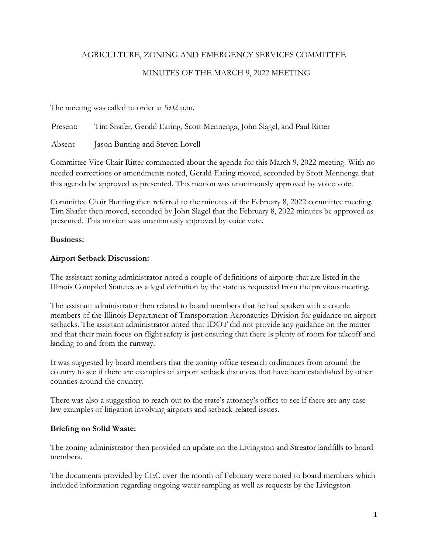# AGRICULTURE, ZONING AND EMERGENCY SERVICES COMMITTEE

## MINUTES OF THE MARCH 9, 2022 MEETING

The meeting was called to order at 5:02 p.m.

Present: Tim Shafer, Gerald Earing, Scott Mennenga, John Slagel, and Paul Ritter

Absent Jason Bunting and Steven Lovell

Committee Vice Chair Ritter commented about the agenda for this March 9, 2022 meeting. With no needed corrections or amendments noted, Gerald Earing moved, seconded by Scott Mennenga that this agenda be approved as presented. This motion was unanimously approved by voice vote.

Committee Chair Bunting then referred to the minutes of the February 8, 2022 committee meeting. Tim Shafer then moved, seconded by John Slagel that the February 8, 2022 minutes be approved as presented. This motion was unanimously approved by voice vote.

## **Business:**

# **Airport Setback Discussion:**

The assistant zoning administrator noted a couple of definitions of airports that are listed in the Illinois Compiled Statutes as a legal definition by the state as requested from the previous meeting.

The assistant administrator then related to board members that he had spoken with a couple members of the Illinois Department of Transportation Aeronautics Division for guidance on airport setbacks. The assistant administrator noted that IDOT did not provide any guidance on the matter and that their main focus on flight safety is just ensuring that there is plenty of room for takeoff and landing to and from the runway.

It was suggested by board members that the zoning office research ordinances from around the country to see if there are examples of airport setback distances that have been established by other counties around the country.

There was also a suggestion to reach out to the state's attorney's office to see if there are any case law examples of litigation involving airports and setback-related issues.

# **Briefing on Solid Waste:**

The zoning administrator then provided an update on the Livingston and Streator landfills to board members.

The documents provided by CEC over the month of February were noted to board members which included information regarding ongoing water sampling as well as requests by the Livingston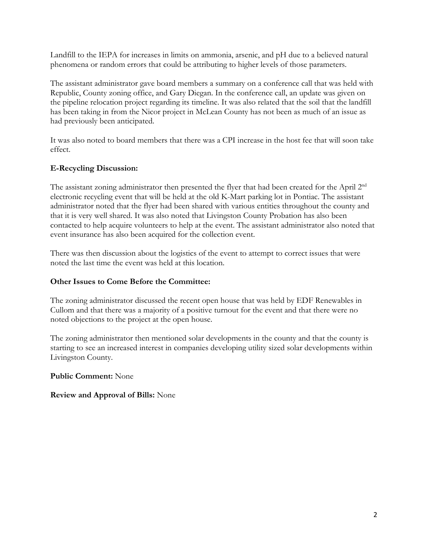Landfill to the IEPA for increases in limits on ammonia, arsenic, and pH due to a believed natural phenomena or random errors that could be attributing to higher levels of those parameters.

The assistant administrator gave board members a summary on a conference call that was held with Republic, County zoning office, and Gary Diegan. In the conference call, an update was given on the pipeline relocation project regarding its timeline. It was also related that the soil that the landfill has been taking in from the Nicor project in McLean County has not been as much of an issue as had previously been anticipated.

It was also noted to board members that there was a CPI increase in the host fee that will soon take effect.

## **E-Recycling Discussion:**

The assistant zoning administrator then presented the flyer that had been created for the April 2<sup>nd</sup> electronic recycling event that will be held at the old K-Mart parking lot in Pontiac. The assistant administrator noted that the flyer had been shared with various entities throughout the county and that it is very well shared. It was also noted that Livingston County Probation has also been contacted to help acquire volunteers to help at the event. The assistant administrator also noted that event insurance has also been acquired for the collection event.

There was then discussion about the logistics of the event to attempt to correct issues that were noted the last time the event was held at this location.

## **Other Issues to Come Before the Committee:**

The zoning administrator discussed the recent open house that was held by EDF Renewables in Cullom and that there was a majority of a positive turnout for the event and that there were no noted objections to the project at the open house.

The zoning administrator then mentioned solar developments in the county and that the county is starting to see an increased interest in companies developing utility sized solar developments within Livingston County.

**Public Comment:** None

### **Review and Approval of Bills:** None